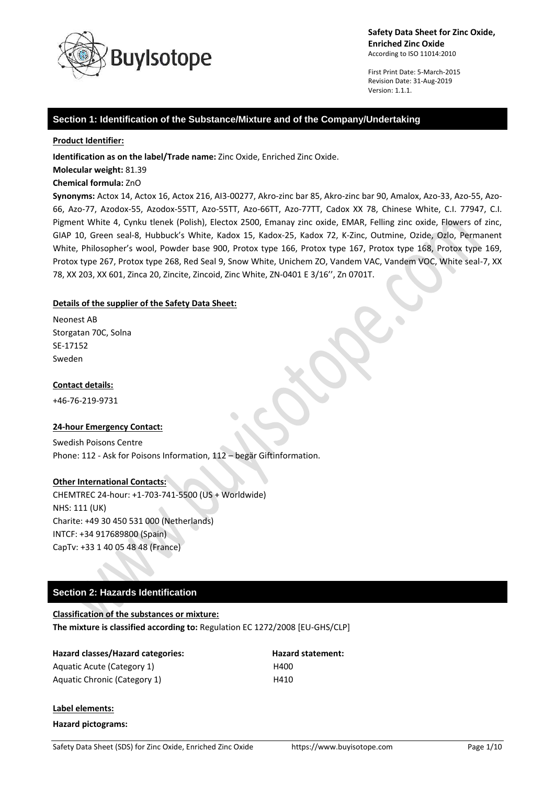

First Print Date: 5-March-2015 Revision Date: 31-Aug-2019 Version: 1.1.1.

## **Section 1: Identification of the Substance/Mixture and of the Company/Undertaking**

#### **Product Identifier:**

**Identification as on the label/Trade name:** Zinc Oxide, Enriched Zinc Oxide.

**Molecular weight:** 81.39

#### **Chemical formula:** ZnO

**Synonyms:** Actox 14, Actox 16, Actox 216, AI3-00277, Akro-zinc bar 85, Akro-zinc bar 90, Amalox, Azo-33, Azo-55, Azo-66, Azo-77, Azodox-55, Azodox-55TT, Azo-55TT, Azo-66TT, Azo-77TT, Cadox XX 78, Chinese White, C.I. 77947, C.I. Pigment White 4, Cynku tlenek (Polish), Electox 2500, Emanay zinc oxide, EMAR, Felling zinc oxide, Flowers of zinc, GIAP 10, Green seal-8, Hubbuck's White, Kadox 15, Kadox-25, Kadox 72, K-Zinc, Outmine, Ozide, Ozlo, Permanent White, Philosopher's wool, Powder base 900, Protox type 166, Protox type 167, Protox type 168, Protox type 169, Protox type 267, Protox type 268, Red Seal 9, Snow White, Unichem ZO, Vandem VAC, Vandem VOC, White seal-7, XX 78, XX 203, XX 601, Zinca 20, Zincite, Zincoid, Zinc White, ZN-0401 E 3/16'', Zn 0701T.

### **Details of the supplier of the Safety Data Sheet:**

Neonest AB Storgatan 70C, Solna SE-17152 Sweden

#### **Contact details:**

+46-76-219-9731

### **24-hour Emergency Contact:**

Swedish Poisons Centre Phone: 112 - Ask for Poisons Information, 112 – begär Giftinformation.

#### **Other International Contacts:**

CHEMTREC 24-hour: +1-703-741-5500 (US + Worldwide) NHS: 111 (UK) Charite: +49 30 450 531 000 (Netherlands) INTCF: +34 917689800 (Spain) CapTv: +33 1 40 05 48 48 (France)

### **Section 2: Hazards Identification**

# **Classification of the substances or mixture: The mixture is classified according to:** Regulation EC 1272/2008 [EU-GHS/CLP]

### **Hazard classes/Hazard categories: Hazard statement:**

Aquatic Acute (Category 1) H400 Aquatic Chronic (Category 1) H410

#### **Label elements:**

**Hazard pictograms:**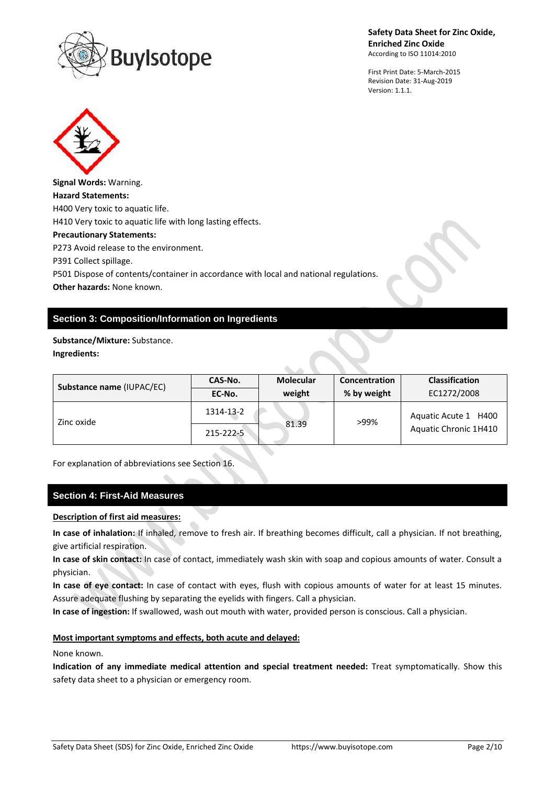

First Print Date: 5-March-2015 Revision Date: 31-Aug-2019 Version: 1.1.1.



# **Section 3: Composition/Information on Ingredients**

**Substance/Mixture:** Substance. **Ingredients:**

| Substance name (IUPAC/EC) | <b>Molecular</b><br>CAS-No. |        | Concentration | <b>Classification</b>                         |
|---------------------------|-----------------------------|--------|---------------|-----------------------------------------------|
|                           | EC-No.                      | weight | % by weight   | EC1272/2008                                   |
| Zinc oxide                | 1314-13-2                   |        | >99%          | Aquatic Acute 1 H400<br>Aquatic Chronic 1H410 |
|                           | 215-222-5                   | 81.39  |               |                                               |

For explanation of abbreviations see Section 16.

### **Section 4: First-Aid Measures**

## **Description of first aid measures:**

**In case of inhalation:** If inhaled, remove to fresh air. If breathing becomes difficult, call a physician. If not breathing, give artificial respiration.

**In case of skin contact:** In case of contact, immediately wash skin with soap and copious amounts of water. Consult a physician.

**In case of eye contact:** In case of contact with eyes, flush with copious amounts of water for at least 15 minutes. Assure adequate flushing by separating the eyelids with fingers. Call a physician.

**In case of ingestion:** If swallowed, wash out mouth with water, provided person is conscious. Call a physician.

#### **Most important symptoms and effects, both acute and delayed:**

#### None known.

**Indication of any immediate medical attention and special treatment needed:** Treat symptomatically. Show this safety data sheet to a physician or emergency room.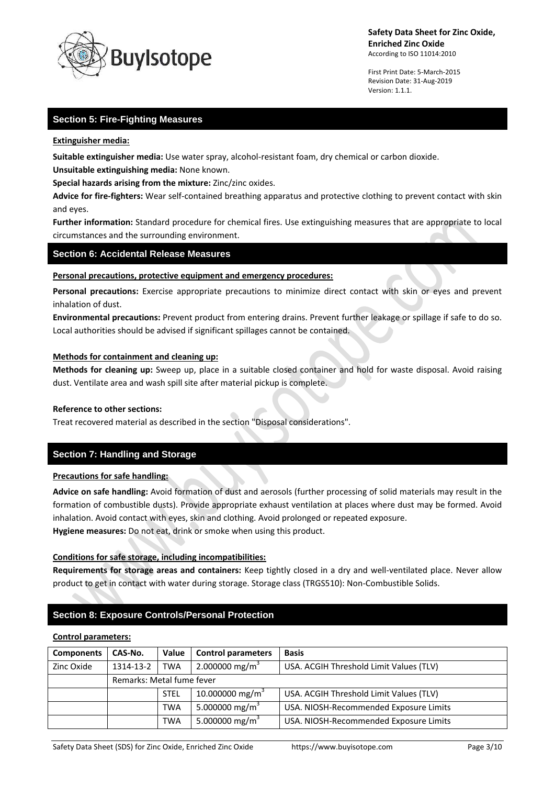

First Print Date: 5-March-2015 Revision Date: 31-Aug-2019 Version: 1.1.1.

# **Section 5: Fire-Fighting Measures**

#### **Extinguisher media:**

**Suitable extinguisher media:** Use water spray, alcohol-resistant foam, dry chemical or carbon dioxide.

**Unsuitable extinguishing media:** None known.

**Special hazards arising from the mixture:** Zinc/zinc oxides.

**Advice for fire-fighters:** Wear self-contained breathing apparatus and protective clothing to prevent contact with skin and eyes.

**Further information:** Standard procedure for chemical fires. Use extinguishing measures that are appropriate to local circumstances and the surrounding environment.

## **Section 6: Accidental Release Measures**

#### **Personal precautions, protective equipment and emergency procedures:**

**Personal precautions:** Exercise appropriate precautions to minimize direct contact with skin or eyes and prevent inhalation of dust.

**Environmental precautions:** Prevent product from entering drains. Prevent further leakage or spillage if safe to do so. Local authorities should be advised if significant spillages cannot be contained.

#### **Methods for containment and cleaning up:**

**Methods for cleaning up:** Sweep up, place in a suitable closed container and hold for waste disposal. Avoid raising dust. Ventilate area and wash spill site after material pickup is complete.

#### **Reference to other sections:**

Treat recovered material as described in the section "Disposal considerations".

# **Section 7: Handling and Storage**

### **Precautions for safe handling:**

**Advice on safe handling:** Avoid formation of dust and aerosols (further processing of solid materials may result in the formation of combustible dusts). Provide appropriate exhaust ventilation at places where dust may be formed. Avoid inhalation. Avoid contact with eyes, skin and clothing. Avoid prolonged or repeated exposure. **Hygiene measures:** Do not eat, drink or smoke when using this product.

### **Conditions for safe storage, including incompatibilities:**

**Requirements for storage areas and containers:** Keep tightly closed in a dry and well-ventilated place. Never allow product to get in contact with water during storage. Storage class (TRGS510): Non-Combustible Solids.

# **Section 8: Exposure Controls/Personal Protection**

#### **Control parameters:**

| <b>Components</b> | CAS-No.                   | Value       | <b>Control parameters</b>   | <b>Basis</b>                            |  |
|-------------------|---------------------------|-------------|-----------------------------|-----------------------------------------|--|
| Zinc Oxide        | 1314-13-2                 | <b>TWA</b>  | 2.000000 mg/m <sup>3</sup>  | USA. ACGIH Threshold Limit Values (TLV) |  |
|                   | Remarks: Metal fume fever |             |                             |                                         |  |
|                   |                           | <b>STEL</b> | 10.000000 mg/m <sup>3</sup> | USA. ACGIH Threshold Limit Values (TLV) |  |
|                   |                           | <b>TWA</b>  | 5.000000 mg/m <sup>3</sup>  | USA. NIOSH-Recommended Exposure Limits  |  |
|                   |                           | TWA         | 5.000000 mg/m <sup>3</sup>  | USA. NIOSH-Recommended Exposure Limits  |  |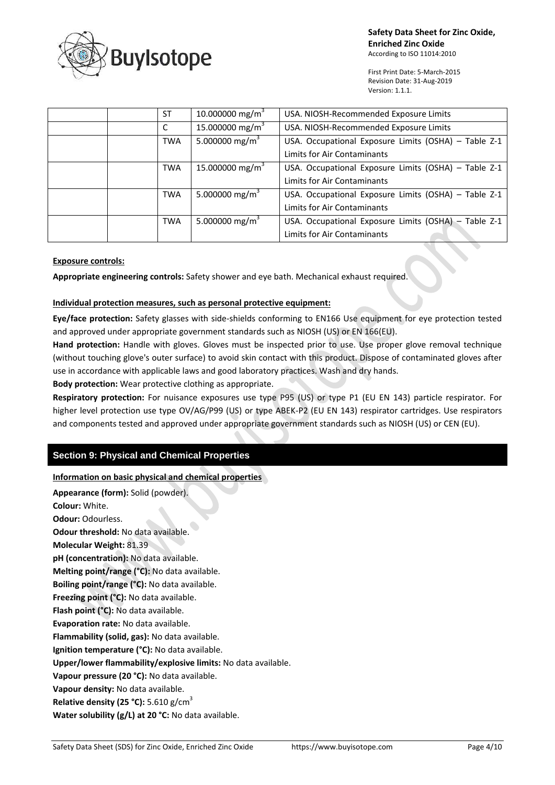

First Print Date: 5-March-2015 Revision Date: 31-Aug-2019 Version: 1.1.1.

|  | <b>ST</b>  | 10.000000 mg/m <sup>3</sup> | USA. NIOSH-Recommended Exposure Limits               |
|--|------------|-----------------------------|------------------------------------------------------|
|  |            | 15.000000 mg/m <sup>3</sup> | USA. NIOSH-Recommended Exposure Limits               |
|  | <b>TWA</b> | 5.000000 mg/m <sup>3</sup>  | USA. Occupational Exposure Limits (OSHA) - Table Z-1 |
|  |            |                             | <b>Limits for Air Contaminants</b>                   |
|  | <b>TWA</b> | 15.000000 mg/m <sup>3</sup> | USA. Occupational Exposure Limits (OSHA) - Table Z-1 |
|  |            |                             | Limits for Air Contaminants                          |
|  | <b>TWA</b> | 5.000000 mg/m <sup>3</sup>  | USA. Occupational Exposure Limits (OSHA) - Table Z-1 |
|  |            |                             | <b>Limits for Air Contaminants</b>                   |
|  | <b>TWA</b> | 5.000000 mg/m <sup>3</sup>  | USA. Occupational Exposure Limits (OSHA) - Table Z-1 |
|  |            |                             | Limits for Air Contaminants                          |

## **Exposure controls:**

**Appropriate engineering controls:** Safety shower and eye bath. Mechanical exhaust required.

## **Individual protection measures, such as personal protective equipment:**

**Eye/face protection:** Safety glasses with side-shields conforming to EN166 Use equipment for eye protection tested and approved under appropriate government standards such as NIOSH (US) or EN 166(EU).

**Hand protection:** Handle with gloves. Gloves must be inspected prior to use. Use proper glove removal technique (without touching glove's outer surface) to avoid skin contact with this product. Dispose of contaminated gloves after use in accordance with applicable laws and good laboratory practices. Wash and dry hands.

**Body protection:** Wear protective clothing as appropriate.

**Respiratory protection:** For nuisance exposures use type P95 (US) or type P1 (EU EN 143) particle respirator. For higher level protection use type OV/AG/P99 (US) or type ABEK-P2 (EU EN 143) respirator cartridges. Use respirators and components tested and approved under appropriate government standards such as NIOSH (US) or CEN (EU).

# **Section 9: Physical and Chemical Properties**

**Information on basic physical and chemical properties**

**Appearance (form):** Solid (powder). **Colour:** White. **Odour:** Odourless. **Odour threshold:** No data available. **Molecular Weight:** 81.39 **pH (concentration):** No data available. **Melting point/range (°C):** No data available. **Boiling point/range (°C):** No data available. **Freezing point (°C):** No data available. **Flash point (°C):** No data available. **Evaporation rate:** No data available. **Flammability (solid, gas):** No data available. **Ignition temperature (°C):** No data available. **Upper/lower flammability/explosive limits:** No data available. **Vapour pressure (20 °C):** No data available. **Vapour density:** No data available. **Relative density (25 °C):** 5.610 g/cm<sup>3</sup> **Water solubility (g/L) at 20 °C:** No data available.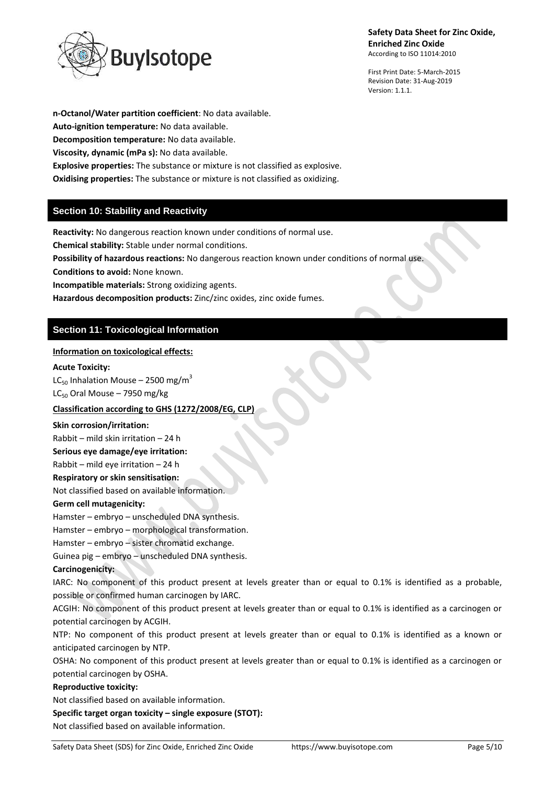

First Print Date: 5-March-2015 Revision Date: 31-Aug-2019 Version: 1.1.1.

**n-Octanol/Water partition coefficient**: No data available. **Auto-ignition temperature:** No data available. **Decomposition temperature:** No data available. **Viscosity, dynamic (mPa s):** No data available. **Explosive properties:** The substance or mixture is not classified as explosive. **Oxidising properties:** The substance or mixture is not classified as oxidizing.

# **Section 10: Stability and Reactivity**

**Reactivity:** No dangerous reaction known under conditions of normal use.

**Chemical stability:** Stable under normal conditions.

**Possibility of hazardous reactions:** No dangerous reaction known under conditions of normal use.

**Conditions to avoid:** None known.

**Incompatible materials:** Strong oxidizing agents.

**Hazardous decomposition products:** Zinc/zinc oxides, zinc oxide fumes.

# **Section 11: Toxicological Information**

# **Information on toxicological effects:**

### **Acute Toxicity:**

LC<sub>50</sub> Inhalation Mouse – 2500 mg/m<sup>3</sup>  $LC_{50}$  Oral Mouse – 7950 mg/kg

# **Classification according to GHS (1272/2008/EG, CLP)**

### **Skin corrosion/irritation:**

Rabbit – mild skin irritation – 24 h

**Serious eye damage/eye irritation:**

Rabbit – mild eye irritation – 24 h

**Respiratory or skin sensitisation:**

Not classified based on available information.

# **Germ cell mutagenicity:**

Hamster – embryo – unscheduled DNA synthesis.

Hamster – embryo – morphological transformation.

Hamster – embryo – sister chromatid exchange.

Guinea pig – embryo – unscheduled DNA synthesis.

### **Carcinogenicity:**

IARC: No component of this product present at levels greater than or equal to 0.1% is identified as a probable, possible or confirmed human carcinogen by IARC.

ACGIH: No component of this product present at levels greater than or equal to 0.1% is identified as a carcinogen or potential carcinogen by ACGIH.

NTP: No component of this product present at levels greater than or equal to 0.1% is identified as a known or anticipated carcinogen by NTP.

OSHA: No component of this product present at levels greater than or equal to 0.1% is identified as a carcinogen or potential carcinogen by OSHA.

### **Reproductive toxicity:**

Not classified based on available information.

**Specific target organ toxicity – single exposure (STOT):**

Not classified based on available information.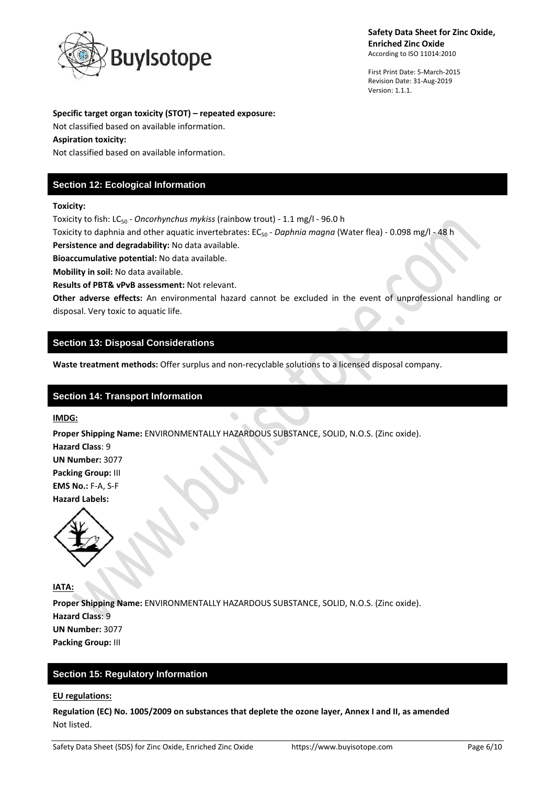

First Print Date: 5-March-2015 Revision Date: 31-Aug-2019 Version: 1.1.1.

#### **Specific target organ toxicity (STOT) – repeated exposure:**

Not classified based on available information.

### **Aspiration toxicity:**

Not classified based on available information.

# **Section 12: Ecological Information**

### **Toxicity:**

Toxicity to fish: LC<sup>50</sup> *- Oncorhynchus mykiss* (rainbow trout) - 1.1 mg/l - 96.0 h

Toxicity to daphnia and other aquatic invertebrates: EC<sub>50</sub> - *Daphnia magna* (Water flea) - 0.098 mg/l - 48 h

**Persistence and degradability:** No data available.

**Bioaccumulative potential:** No data available.

**Mobility in soil:** No data available.

**Results of PBT& vPvB assessment:** Not relevant.

**Other adverse effects:** An environmental hazard cannot be excluded in the event of unprofessional handling or disposal. Very toxic to aquatic life.  $\bullet$ 

# **Section 13: Disposal Considerations**

**Waste treatment methods:** Offer surplus and non-recyclable solutions to a licensed disposal company.

# **Section 14: Transport Information**

### **IMDG:**

**Proper Shipping Name:** ENVIRONMENTALLY HAZARDOUS SUBSTANCE, SOLID, N.O.S. (Zinc oxide).

 $\bullet$ 

**Hazard Class**: 9 **UN Number:** 3077 **Packing Group:** III **EMS No.:** F-A, S-F **Hazard Labels:** 



**IATA:**

**Proper Shipping Name:** ENVIRONMENTALLY HAZARDOUS SUBSTANCE, SOLID, N.O.S. (Zinc oxide). **Hazard Class**: 9 **UN Number:** 3077 **Packing Group:** III

# **Section 15: Regulatory Information**

### **EU regulations:**

**Regulation (EC) No. 1005/2009 on substances that deplete the ozone layer, Annex I and II, as amended** Not listed.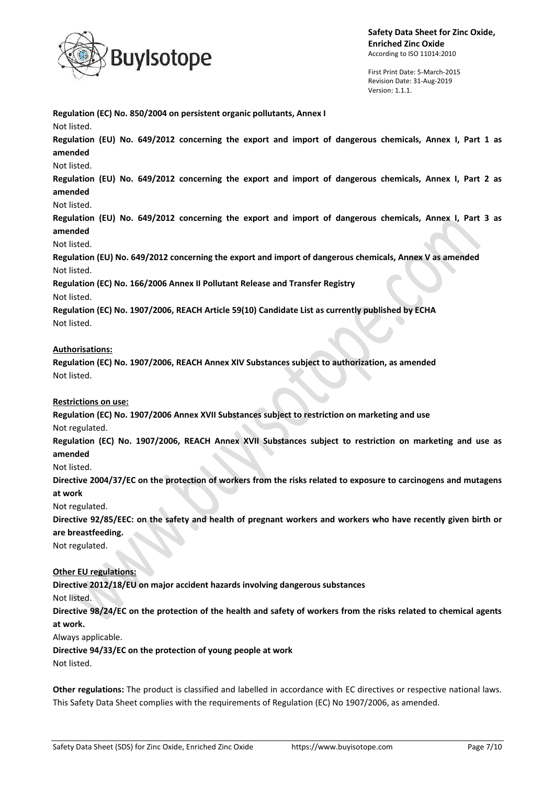

**Regulation (EC) No. 850/2004 on persistent organic pollutants, Annex I**

**Safety Data Sheet for Zinc Oxide, Enriched Zinc Oxide** According to ISO 11014:2010

First Print Date: 5-March-2015 Revision Date: 31-Aug-2019 Version: 1.1.1.

Not listed. **Regulation (EU) No. 649/2012 concerning the export and import of dangerous chemicals, Annex I, Part 1 as amended** Not listed. **Regulation (EU) No. 649/2012 concerning the export and import of dangerous chemicals, Annex I, Part 2 as amended** Not listed. **Regulation (EU) No. 649/2012 concerning the export and import of dangerous chemicals, Annex I, Part 3 as amended** Not listed. **Regulation (EU) No. 649/2012 concerning the export and import of dangerous chemicals, Annex V as amended** Not listed. **Regulation (EC) No. 166/2006 Annex II Pollutant Release and Transfer Registry** Not listed. **Regulation (EC) No. 1907/2006, REACH Article 59(10) Candidate List as currently published by ECHA** Not listed. **Authorisations: Regulation (EC) No. 1907/2006, REACH Annex XIV Substances subject to authorization, as amended** Not listed. **Restrictions on use: Regulation (EC) No. 1907/2006 Annex XVII Substances subject to restriction on marketing and use** Not regulated.

**Regulation (EC) No. 1907/2006, REACH Annex XVII Substances subject to restriction on marketing and use as amended**

Not listed.

**Directive 2004/37/EC on the protection of workers from the risks related to exposure to carcinogens and mutagens at work**

Not regulated.

**Directive 92/85/EEC: on the safety and health of pregnant workers and workers who have recently given birth or are breastfeeding.**

Not regulated.

**Other EU regulations:**

**Directive 2012/18/EU on major accident hazards involving dangerous substances**

Not listed.

**Directive 98/24/EC on the protection of the health and safety of workers from the risks related to chemical agents at work.**

Always applicable.

**Directive 94/33/EC on the protection of young people at work**

Not listed.

**Other regulations:** The product is classified and labelled in accordance with EC directives or respective national laws. This Safety Data Sheet complies with the requirements of Regulation (EC) No 1907/2006, as amended.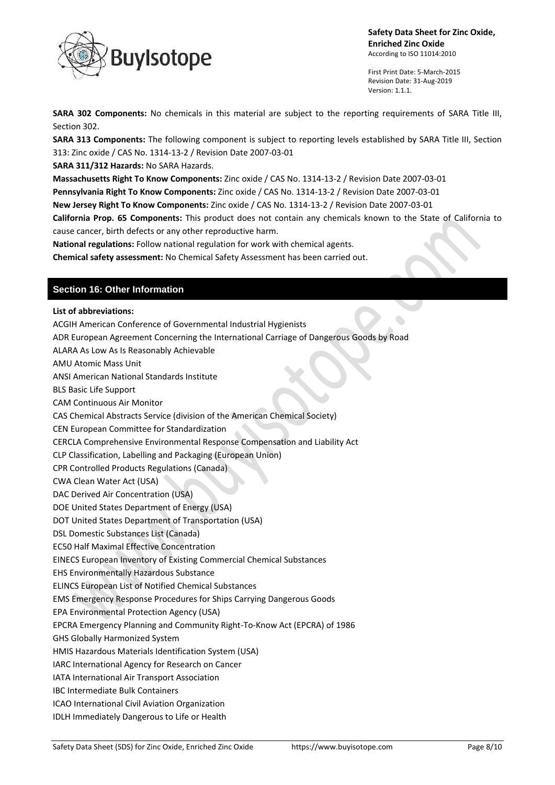

First Print Date: 5-March-2015 Revision Date: 31-Aug-2019 Version: 1.1.1.

**SARA 302 Components:** No chemicals in this material are subject to the reporting requirements of SARA Title III, Section 302.

**SARA 313 Components:** The following component is subject to reporting levels established by SARA Title III, Section 313: Zinc oxide / CAS No. 1314-13-2 / Revision Date 2007-03-01

**SARA 311/312 Hazards:** No SARA Hazards.

**Massachusetts Right To Know Components:** Zinc oxide / CAS No. 1314-13-2 / Revision Date 2007-03-01

**Pennsylvania Right To Know Components:** Zinc oxide / CAS No. 1314-13-2 / Revision Date 2007-03-01

**New Jersey Right To Know Components:** Zinc oxide / CAS No. 1314-13-2 / Revision Date 2007-03-01

**California Prop. 65 Components:** This product does not contain any chemicals known to the State of California to cause cancer, birth defects or any other reproductive harm.

**National regulations:** Follow national regulation for work with chemical agents.

**Chemical safety assessment:** No Chemical Safety Assessment has been carried out.

# **Section 16: Other Information**

**List of abbreviations:**

ACGIH American Conference of Governmental Industrial Hygienists

ADR European Agreement Concerning the International Carriage of Dangerous Goods by Road

ALARA As Low As Is Reasonably Achievable

AMU Atomic Mass Unit

ANSI American National Standards Institute

BLS Basic Life Support

CAM Continuous Air Monitor

CAS Chemical Abstracts Service (division of the American Chemical Society)

CEN European Committee for Standardization

CERCLA Comprehensive Environmental Response Compensation and Liability Act

CLP Classification, Labelling and Packaging (European Union)

CPR Controlled Products Regulations (Canada)

CWA Clean Water Act (USA)

DAC Derived Air Concentration (USA)

DOE United States Department of Energy (USA)

DOT United States Department of Transportation (USA)

DSL Domestic Substances List (Canada)

EC50 Half Maximal Effective Concentration

EINECS European Inventory of Existing Commercial Chemical Substances

EHS Environmentally Hazardous Substance

ELINCS European List of Notified Chemical Substances

EMS Emergency Response Procedures for Ships Carrying Dangerous Goods

EPA Environmental Protection Agency (USA)

EPCRA Emergency Planning and Community Right-To-Know Act (EPCRA) of 1986

GHS Globally Harmonized System

HMIS Hazardous Materials Identification System (USA)

IARC International Agency for Research on Cancer

IATA International Air Transport Association

IBC Intermediate Bulk Containers

ICAO International Civil Aviation Organization

IDLH Immediately Dangerous to Life or Health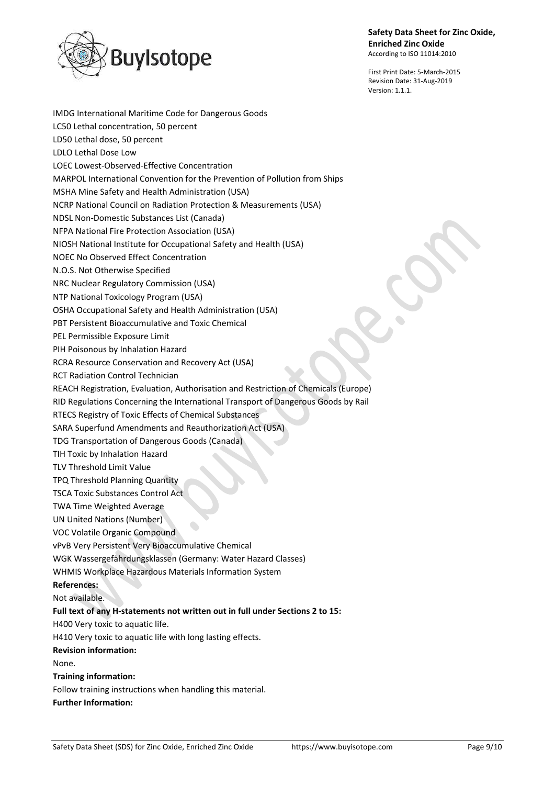

IMDG International Maritime Code for Dangerous Goods

**Safety Data Sheet for Zinc Oxide, Enriched Zinc Oxide** According to ISO 11014:2010

First Print Date: 5-March-2015 Revision Date: 31-Aug-2019 Version: 1.1.1.

LC50 Lethal concentration, 50 percent LD50 Lethal dose, 50 percent LDLO Lethal Dose Low LOEC Lowest-Observed-Effective Concentration MARPOL International Convention for the Prevention of Pollution from Ships MSHA Mine Safety and Health Administration (USA) NCRP National Council on Radiation Protection & Measurements (USA) NDSL Non-Domestic Substances List (Canada) NFPA National Fire Protection Association (USA) NIOSH National Institute for Occupational Safety and Health (USA) NOEC No Observed Effect Concentration N.O.S. Not Otherwise Specified NRC Nuclear Regulatory Commission (USA) NTP National Toxicology Program (USA) OSHA Occupational Safety and Health Administration (USA) PBT Persistent Bioaccumulative and Toxic Chemical PEL Permissible Exposure Limit PIH Poisonous by Inhalation Hazard RCRA Resource Conservation and Recovery Act (USA) RCT Radiation Control Technician REACH Registration, Evaluation, Authorisation and Restriction of Chemicals (Europe) RID Regulations Concerning the International Transport of Dangerous Goods by Rail RTECS Registry of Toxic Effects of Chemical Substances SARA Superfund Amendments and Reauthorization Act (USA) TDG Transportation of Dangerous Goods (Canada) TIH Toxic by Inhalation Hazard TLV Threshold Limit Value TPQ Threshold Planning Quantity TSCA Toxic Substances Control Act TWA Time Weighted Average UN United Nations (Number) VOC Volatile Organic Compound vPvB Very Persistent Very Bioaccumulative Chemical WGK Wassergefährdungsklassen (Germany: Water Hazard Classes) WHMIS Workplace Hazardous Materials Information System **References:** Not available. **Full text of any H-statements not written out in full under Sections 2 to 15:** H400 Very toxic to aquatic life. H410 Very toxic to aquatic life with long lasting effects. **Revision information:** None. **Training information:** Follow training instructions when handling this material. **Further Information:**